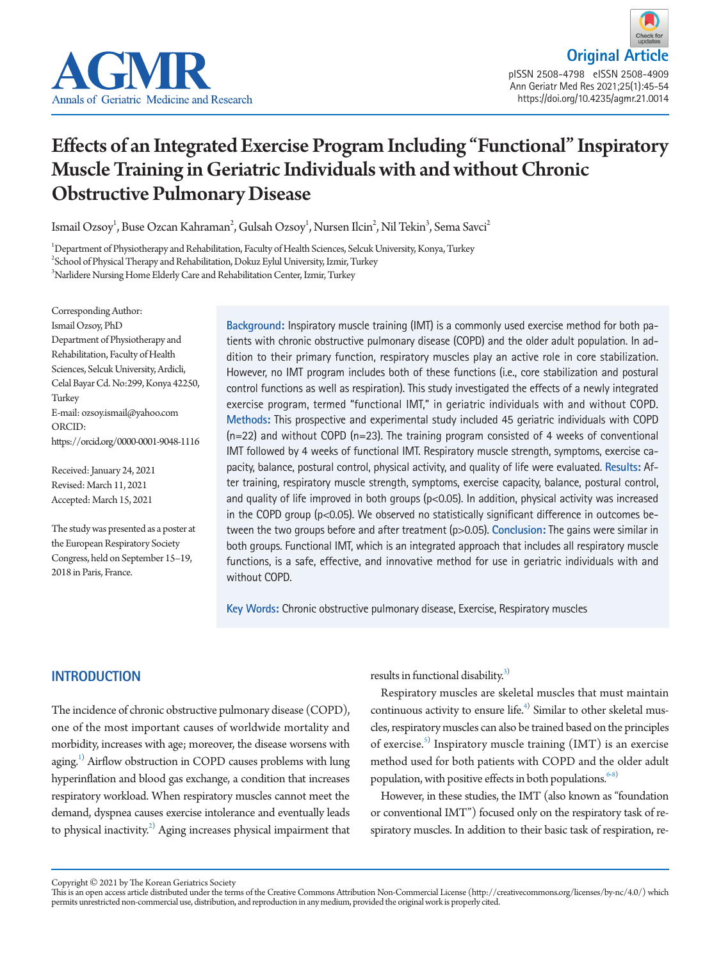



# Effects of an Integrated Exercise Program Including "Functional" Inspiratory Muscle Training in Geriatric Individuals with and without Chronic Obstructive Pulmonary Disease

Ismail Ozsoy $^1$ , Buse Ozcan Kahraman $^2$ , Gulsah Ozsoy $^1$ , Nursen Ilcin $^2$ , Nil Tekin $^3$ , Sema Savci $^2$ 

1 Department of Physiotherapy and Rehabilitation, Faculty of Health Sciences, Selcuk University, Konya, Turkey  $^2$ School of Physical Therapy and Rehabilitation, Dokuz Eylul University, Izmir, Turkey 3 Narlidere Nursing Home Elderly Care and Rehabilitation Center, Izmir, Turkey

Corresponding Author: Ismail Ozsoy, PhD Department of Physiotherapy and Rehabilitation, Faculty of Health Sciences, Selcuk University, Ardicli, Celal Bayar Cd. No:299, Konya 42250, Turkey E-mail: ozsoy.ismail@yahoo.com ORCID: https://orcid.org/0000-0001-9048-1116

Received: January 24, 2021 Revised: March 11, 2021 Accepted: March 15, 2021

The study was presented as a poster at the European Respiratory Society Congress, held on September 15–19, 2018 in Paris, France.

**Background:** Inspiratory muscle training (IMT) is a commonly used exercise method for both patients with chronic obstructive pulmonary disease (COPD) and the older adult population. In addition to their primary function, respiratory muscles play an active role in core stabilization. However, no IMT program includes both of these functions (i.e., core stabilization and postural control functions as well as respiration). This study investigated the effects of a newly integrated exercise program, termed "functional IMT," in geriatric individuals with and without COPD. **Methods:** This prospective and experimental study included 45 geriatric individuals with COPD  $(n=22)$  and without COPD  $(n=23)$ . The training program consisted of 4 weeks of conventional IMT followed by 4 weeks of functional IMT. Respiratory muscle strength, symptoms, exercise capacity, balance, postural control, physical activity, and quality of life were evaluated. **Results:** After training, respiratory muscle strength, symptoms, exercise capacity, balance, postural control, and quality of life improved in both groups  $(p< 0.05)$ . In addition, physical activity was increased in the COPD group ( $p$ <0.05). We observed no statistically significant difference in outcomes between the two groups before and after treatment (p>0.05). **Conclusion:** The gains were similar in both groups. Functional IMT, which is an integrated approach that includes all respiratory muscle functions, is a safe, effective, and innovative method for use in geriatric individuals with and without COPD.

**Key Words:** Chronic obstructive pulmonary disease, Exercise, Respiratory muscles

# **INTRODUCTION**

The incidence of chronic obstructive pulmonary disease (COPD), one of the most important causes of worldwide mortality and morbidity, increases with age; moreover, the disease worsens with aging.<sup>[1](#page-8-0))</sup> Airflow obstruction in COPD causes problems with lung hyperinflation and blood gas exchange, a condition that increases respiratory workload. When respiratory muscles cannot meet the demand, dyspnea causes exercise intolerance and eventually leads to physical inactivity. $^{2)}$  Aging increases physical impairment that

results in functional disability.<sup>3)</sup>

Respiratory muscles are skeletal muscles that must maintain continuous activity to ensure life. $4$  Similar to other skeletal muscles, respiratory muscles can also be trained based on the principles of exercise.<sup>[5](#page-8-4))</sup> Inspiratory muscle training (IMT) is an exercise method used for both patients with COPD and the older adult population, with positive effects in both populations. $6-8$  $6-8$ )

However, in these studies, the IMT (also known as "foundation or conventional IMT") focused only on the respiratory task of respiratory muscles. In addition to their basic task of respiration, re-

Copyright © 2021 by The Korean Geriatrics Society

This is an open access article distributed under the terms of the Creative Commons Attribution Non-Commercial License (http://creativecommons.org/licenses/by-nc/4.0/) which permits unrestricted non-commercial use, distribution, and reproduction in any medium, provided the original work is properly cited.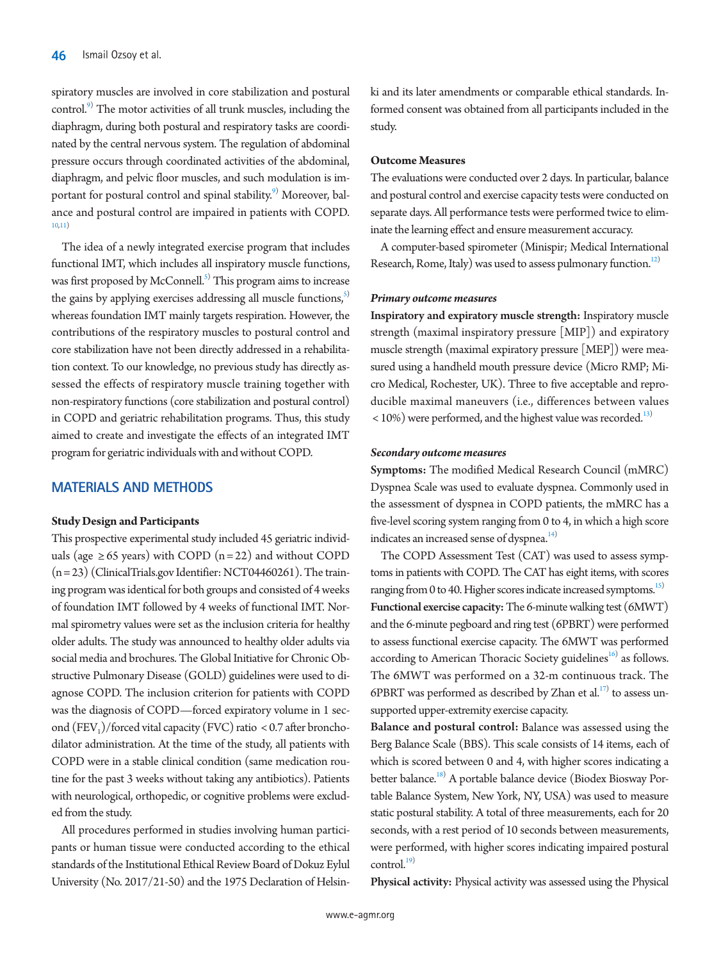spiratory muscles are involved in core stabilization and postural control.<sup>[9\)](#page-8-4)</sup> The motor activities of all trunk muscles, including the diaphragm, during both postural and respiratory tasks are coordinated by the central nervous system. The regulation of abdominal pressure occurs through coordinated activities of the abdominal, diaphragm, and pelvic floor muscles, and such modulation is im-portant for postural control and spinal stability.<sup>[9\)](#page-8-4)</sup> Moreover, balance and postural control are impaired in patients with COPD. [10](#page-8-6)[,11\)](#page-8-7)

The idea of a newly integrated exercise program that includes functional IMT, which includes all inspiratory muscle functions, was first proposed by McConnell.<sup>[5\)](#page-8-4)</sup> This program aims to increase the gains by applying exercises addressing all muscle functions,<sup>5)</sup> whereas foundation IMT mainly targets respiration. However, the contributions of the respiratory muscles to postural control and core stabilization have not been directly addressed in a rehabilitation context. To our knowledge, no previous study has directly assessed the effects of respiratory muscle training together with non-respiratory functions (core stabilization and postural control) in COPD and geriatric rehabilitation programs. Thus, this study aimed to create and investigate the effects of an integrated IMT program for geriatric individuals with and without COPD.

# **MATERIALS AND METHODS**

#### **Study Design and Participants**

This prospective experimental study included 45 geriatric individuals (age  $\geq 65$  years) with COPD (n = 22) and without COPD (n = 23) (ClinicalTrials.gov Identifier: NCT04460261). The training program was identical for both groups and consisted of 4 weeks of foundation IMT followed by 4 weeks of functional IMT. Normal spirometry values were set as the inclusion criteria for healthy older adults. The study was announced to healthy older adults via social media and brochures. The Global Initiative for Chronic Obstructive Pulmonary Disease (GOLD) guidelines were used to diagnose COPD. The inclusion criterion for patients with COPD was the diagnosis of COPD—forced expiratory volume in 1 second  $(FEV_1)/$  forced vital capacity (FVC) ratio < 0.7 after bronchodilator administration. At the time of the study, all patients with COPD were in a stable clinical condition (same medication routine for the past 3 weeks without taking any antibiotics). Patients with neurological, orthopedic, or cognitive problems were excluded from the study.

All procedures performed in studies involving human participants or human tissue were conducted according to the ethical standards of the Institutional Ethical Review Board of Dokuz Eylul University (No. 2017/21-50) and the 1975 Declaration of Helsinki and its later amendments or comparable ethical standards. Informed consent was obtained from all participants included in the study.

#### **Outcome Measures**

The evaluations were conducted over 2 days. In particular, balance and postural control and exercise capacity tests were conducted on separate days. All performance tests were performed twice to eliminate the learning effect and ensure measurement accuracy.

A computer-based spirometer (Minispir; Medical International Research, Rome, Italy) was used to assess pulmonary function.<sup>[12](#page-8-8))</sup>

#### *Primary outcome measures*

Inspiratory and expiratory muscle strength: Inspiratory muscle strength (maximal inspiratory pressure [MIP]) and expiratory muscle strength (maximal expiratory pressure [MEP]) were measured using a handheld mouth pressure device (Micro RMP; Micro Medical, Rochester, UK). Three to five acceptable and reproducible maximal maneuvers (i.e., differences between values  $<$  10%) were performed, and the highest value was recorded.<sup>13)</sup>

#### *Secondary outcome measures*

Symptoms: The modified Medical Research Council (mMRC) Dyspnea Scale was used to evaluate dyspnea. Commonly used in the assessment of dyspnea in COPD patients, the mMRC has a five-level scoring system ranging from 0 to 4, in which a high score indicates an increased sense of dyspnea.<sup>[14](#page-8-10))</sup>

The COPD Assessment Test (CAT) was used to assess symptoms in patients with COPD. The CAT has eight items, with scores ranging from 0 to 40. Higher scores indicate increased symptoms.<sup>15)</sup> Functional exercise capacity: The 6-minute walking test (6MWT) and the 6-minute pegboard and ring test (6PBRT) were performed to assess functional exercise capacity. The 6MWT was performed according to American Thoracic Society guidelines<sup>[16](#page-8-12))</sup> as follows. The 6MWT was performed on a 32-m continuous track. The 6PBRT was performed as described by Zhan et  $al.^{17}$  to assess unsupported upper-extremity exercise capacity.

Balance and postural control: Balance was assessed using the Berg Balance Scale (BBS). This scale consists of 14 items, each of which is scored between 0 and 4, with higher scores indicating a better balance.<sup>18)</sup> A portable balance device (Biodex Biosway Portable Balance System, New York, NY, USA) was used to measure static postural stability. A total of three measurements, each for 20 seconds, with a rest period of 10 seconds between measurements, were performed, with higher scores indicating impaired postural control. $^{19)}$ 

Physical activity: Physical activity was assessed using the Physical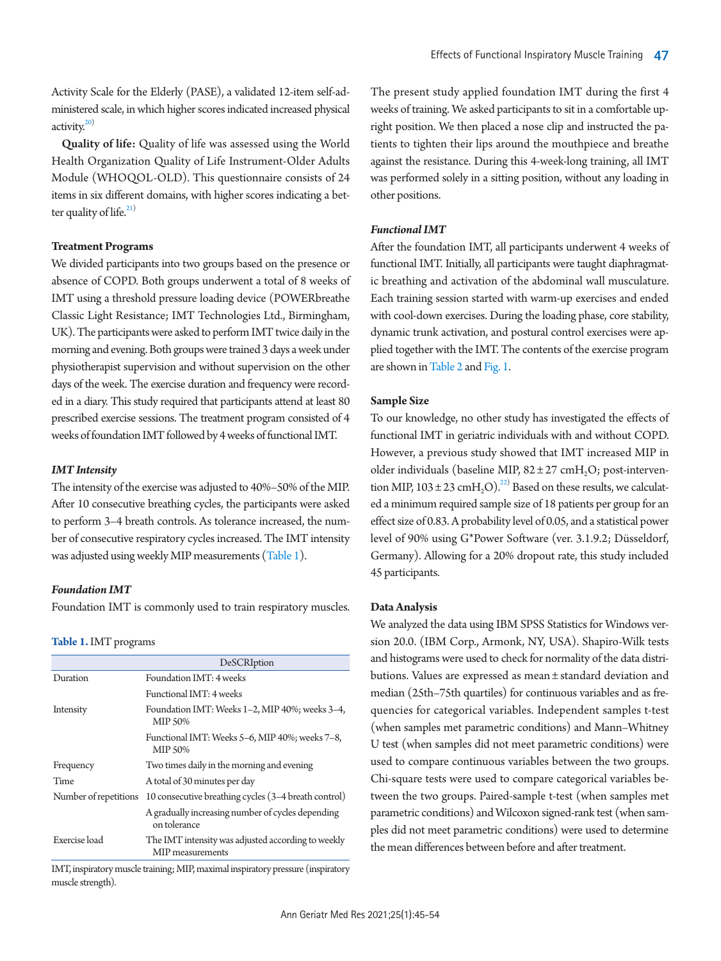Activity Scale for the Elderly (PASE), a validated 12-item self-administered scale, in which higher scores indicated increased physical activity. $20$ 

Quality of life: Quality of life was assessed using the World Health Organization Quality of Life Instrument-Older Adults Module (WHOQOL-OLD). This questionnaire consists of 24 items in six different domains, with higher scores indicating a better quality of life. $^{21)}$ 

### **Treatment Programs**

We divided participants into two groups based on the presence or absence of COPD. Both groups underwent a total of 8 weeks of IMT using a threshold pressure loading device (POWERbreathe Classic Light Resistance; IMT Technologies Ltd., Birmingham, UK). The participants were asked to perform IMT twice daily in the morning and evening. Both groups were trained 3 days a week under physiotherapist supervision and without supervision on the other days of the week. The exercise duration and frequency were recorded in a diary. This study required that participants attend at least 80 prescribed exercise sessions. The treatment program consisted of 4 weeks of foundation IMT followed by 4 weeks of functional IMT.

#### *IMT Intensity*

The intensity of the exercise was adjusted to 40%–50% of the MIP. After 10 consecutive breathing cycles, the participants were asked to perform 3–4 breath controls. As tolerance increased, the number of consecutive respiratory cycles increased. The IMT intensity was adjusted using weekly MIP measurements [\(Table 1](#page-2-0)).

#### *Foundation IMT*

Foundation IMT is commonly used to train respiratory muscles.

#### <span id="page-2-0"></span>**Table 1.** IMT programs

|                       | DeSCRIption                                                            |
|-----------------------|------------------------------------------------------------------------|
| Duration              | Foundation IMT: 4 weeks                                                |
|                       | Functional IMT: 4 weeks                                                |
| Intensity             | Foundation IMT: Weeks 1-2, MIP 40%; weeks 3-4,<br>MIP 50%              |
|                       | Functional IMT: Weeks 5–6, MIP 40%; weeks 7–8,<br><b>MIP 50%</b>       |
| Frequency             | Two times daily in the morning and evening                             |
| Time                  | A total of 30 minutes per day                                          |
| Number of repetitions | 10 consecutive breathing cycles (3-4 breath control)                   |
|                       | A gradually increasing number of cycles depending<br>on tolerance      |
| Exercise load         | The IMT intensity was adjusted according to weekly<br>MIP measurements |

IMT, inspiratory muscle training; MIP, maximal inspiratory pressure (inspiratory muscle strength).

The present study applied foundation IMT during the first 4 weeks of training. We asked participants to sit in a comfortable upright position. We then placed a nose clip and instructed the patients to tighten their lips around the mouthpiece and breathe against the resistance. During this 4-week-long training, all IMT was performed solely in a sitting position, without any loading in other positions.

#### *Functional IMT*

After the foundation IMT, all participants underwent 4 weeks of functional IMT. Initially, all participants were taught diaphragmatic breathing and activation of the abdominal wall musculature. Each training session started with warm-up exercises and ended with cool-down exercises. During the loading phase, core stability, dynamic trunk activation, and postural control exercises were applied together with the IMT. The contents of the exercise program are show[n](#page-3-0) in Table 2 and [Fig. 1](#page-3-1).

#### **Sample Size**

To our knowledge, no other study has investigated the effects of functional IMT in geriatric individuals with and without COPD. However, a previous study showed that IMT increased MIP in older individuals (baseline MIP,  $82 \pm 27$  cmH<sub>2</sub>O; post-intervention MIP,  $103 \pm 23$  cmH<sub>2</sub>O).<sup>22)</sup> Based on these results, we calculated a minimum required sample size of 18 patients per group for an effect size of 0.83. A probability level of 0.05, and a statistical power level of 90% using G\*Power Software (ver. 3.1.9.2; Düsseldorf, Germany). Allowing for a 20% dropout rate, this study included 45 participants.

#### **Data Analysis**

We analyzed the data using IBM SPSS Statistics for Windows version 20.0. (IBM Corp., Armonk, NY, USA). Shapiro-Wilk tests and histograms were used to check for normality of the data distributions. Values are expressed as mean ± standard deviation and median (25th–75th quartiles) for continuous variables and as frequencies for categorical variables. Independent samples t-test (when samples met parametric conditions) and Mann–Whitney U test (when samples did not meet parametric conditions) were used to compare continuous variables between the two groups. Chi-square tests were used to compare categorical variables between the two groups. Paired-sample t-test (when samples met parametric conditions) and Wilcoxon signed-rank test (when samples did not meet parametric conditions) were used to determine the mean differences between before and after treatment.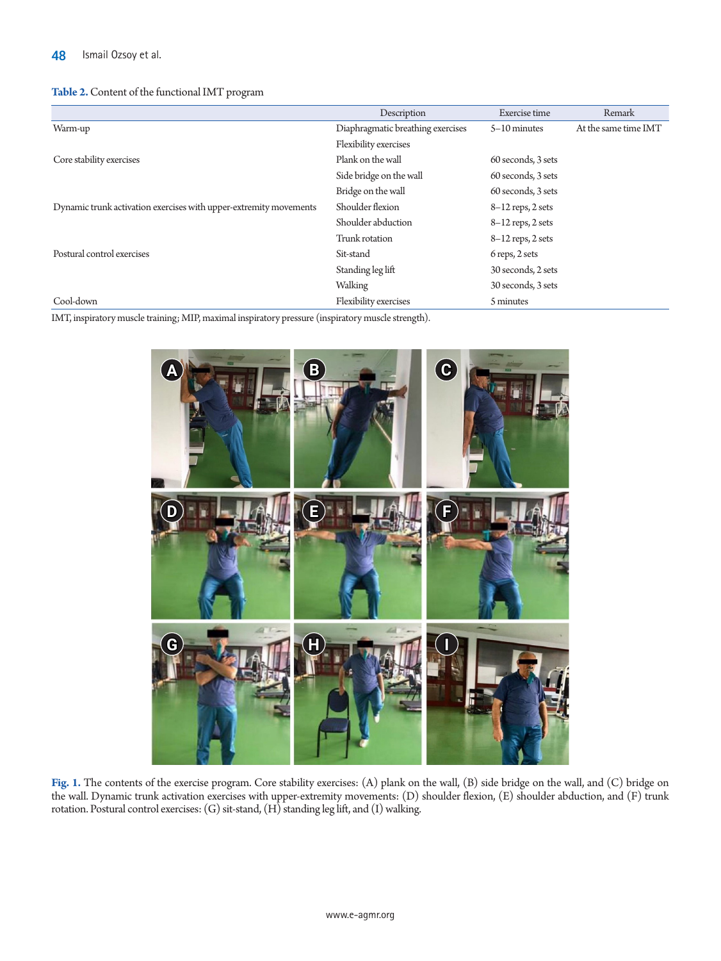## <span id="page-3-0"></span>**Table 2.** Content of the functional IMT program

|                                                                   | Description                       | Exercise time       | Remark               |
|-------------------------------------------------------------------|-----------------------------------|---------------------|----------------------|
| Warm-up                                                           | Diaphragmatic breathing exercises | $5-10$ minutes      | At the same time IMT |
|                                                                   | Flexibility exercises             |                     |                      |
| Core stability exercises                                          | Plank on the wall                 | 60 seconds, 3 sets  |                      |
|                                                                   | Side bridge on the wall           | 60 seconds, 3 sets  |                      |
|                                                                   | Bridge on the wall                | 60 seconds, 3 sets  |                      |
| Dynamic trunk activation exercises with upper-extremity movements | Shoulder flexion                  | $8-12$ reps, 2 sets |                      |
|                                                                   | Shoulder abduction                | $8-12$ reps, 2 sets |                      |
|                                                                   | Trunk rotation                    | $8-12$ reps, 2 sets |                      |
| Postural control exercises                                        | Sit-stand                         | 6 reps, 2 sets      |                      |
|                                                                   | Standing leg lift                 | 30 seconds, 2 sets  |                      |
|                                                                   | Walking                           | 30 seconds, 3 sets  |                      |
| Cool-down                                                         | Flexibility exercises             | 5 minutes           |                      |

<span id="page-3-1"></span>IMT, inspiratory muscle training; MIP, maximal inspiratory pressure (inspiratory muscle strength).



**Fig. 1.** The contents of the exercise program. Core stability exercises: (A) plank on the wall, (B) side bridge on the wall, and (C) bridge on the wall. Dynamic trunk activation exercises with upper-extremity movements: (D) shoulder flexion, (E) shoulder abduction, and (F) trunk rotation. Postural control exercises: (G) sit-stand, (H) standing leg lift, and (I) walking.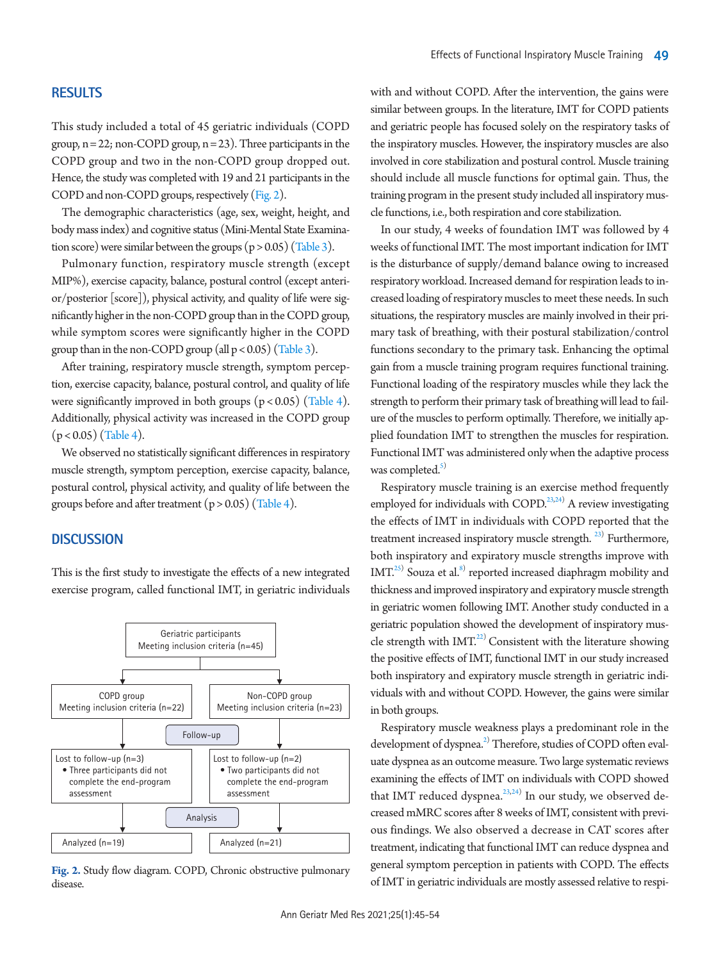# **RESULTS**

This study included a total of 45 geriatric individuals (COPD group,  $n = 22$ ; non-COPD group,  $n = 23$ ). Three participants in the COPD group and two in the non-COPD group dropped out. Hence, the study was completed with 19 and 21 participants in the COPD and non-COPD groups, respectively [\(Fig. 2\)](#page-4-0).

The demographic characteristics (age, sex, weight, height, and body mass index) and cognitive status (Mini-Mental State Examination score) were similar between the groups  $(p > 0.05)$  [\(Table 3](#page-5-0)).

Pulmonary function, respiratory muscle strength (except MIP%), exercise capacity, balance, postural control (except anterior/posterior [score]), physical activity, and quality of life were significantly higher in the non-COPD group than in the COPD group, while symptom scores were significantly higher in the COPD group than in the non-COPD group (all  $p < 0.05$ ) [\(Table 3\)](#page-5-0).

After training, respiratory muscle strength, symptom perception, exercise capacity, balance, postural control, and quality of life were significantly improved in both groups  $(p < 0.05)$  [\(Table 4\)](#page-6-0). Additionally, physical activity was increased in the COPD group  $(p < 0.05)$  [\(Table 4](#page-6-0)).

We observed no statistically significant differences in respiratory muscle strength, symptom perception, exercise capacity, balance, postural control, physical activity, and quality of life between the groups before and after treatment  $(p > 0.05)$  [\(T](#page-6-0)able [4](#page-6-0)).

# **DISCUSSION**

This is the first study to investigate the effects of a new integrated exercise program, called functional IMT, in geriatric individuals

<span id="page-4-0"></span>

**Fig. 2.** Study flow diagram. COPD, Chronic obstructive pulmonary disease.

with and without COPD. After the intervention, the gains were similar between groups. In the literature, IMT for COPD patients and geriatric people has focused solely on the respiratory tasks of the inspiratory muscles. However, the inspiratory muscles are also involved in core stabilization and postural control. Muscle training should include all muscle functions for optimal gain. Thus, the training program in the present study included all inspiratory muscle functions, i.e., both respiration and core stabilization.

In our study, 4 weeks of foundation IMT was followed by 4 weeks of functional IMT. The most important indication for IMT is the disturbance of supply/demand balance owing to increased respiratory workload. Increased demand for respiration leads to increased loading of respiratory muscles to meet these needs. In such situations, the respiratory muscles are mainly involved in their primary task of breathing, with their postural stabilization/control functions secondary to the primary task. Enhancing the optimal gain from a muscle training program requires functional training. Functional loading of the respiratory muscles while they lack the strength to perform their primary task of breathing will lead to failure of the muscles to perform optimally. Therefore, we initially applied foundation IMT to strengthen the muscles for respiration. Functional IMT was administered only when the adaptive process was completed. $5)$ 

Respiratory muscle training is an exercise method frequently employed for individuals with COPD.<sup>[23](#page-8-14),[24](#page-8-15))</sup> A review investigating the effects of IMT in individuals with COPD reported that the treatment increased inspiratory muscle strength.<sup>[23\)](#page-8-14)</sup> Furthermore, both inspiratory and expiratory muscle strengths improve with IMT.<sup>[25](#page-9-0))</sup> Souza et al.<sup>8)</sup> reported increased diaphragm mobility and thickness and improved inspiratory and expiratory muscle strength in geriatric women following IMT. Another study conducted in a geriatric population showed the development of inspiratory muscle strength with IMT.<sup>22)</sup> Consistent with the literature showing the positive effects of IMT, functional IMT in our study increased both inspiratory and expiratory muscle strength in geriatric individuals with and without COPD. However, the gains were similar in both groups.

Respiratory muscle weakness plays a predominant role in the development of dyspnea.<sup>2)</sup> Therefore, studies of COPD often evaluate dyspnea as an outcome measure. Two large systematic reviews examining the effects of IMT on individuals with COPD showed that IMT reduced dyspnea. $2^{23,24)}$  $2^{23,24)}$  $2^{23,24)}$  $2^{23,24)}$  $2^{23,24)}$  In our study, we observed decreased mMRC scores after 8 weeks of IMT, consistent with previous findings. We also observed a decrease in CAT scores after treatment, indicating that functional IMT can reduce dyspnea and general symptom perception in patients with COPD. The effects of IMT in geriatric individuals are mostly assessed relative to respi-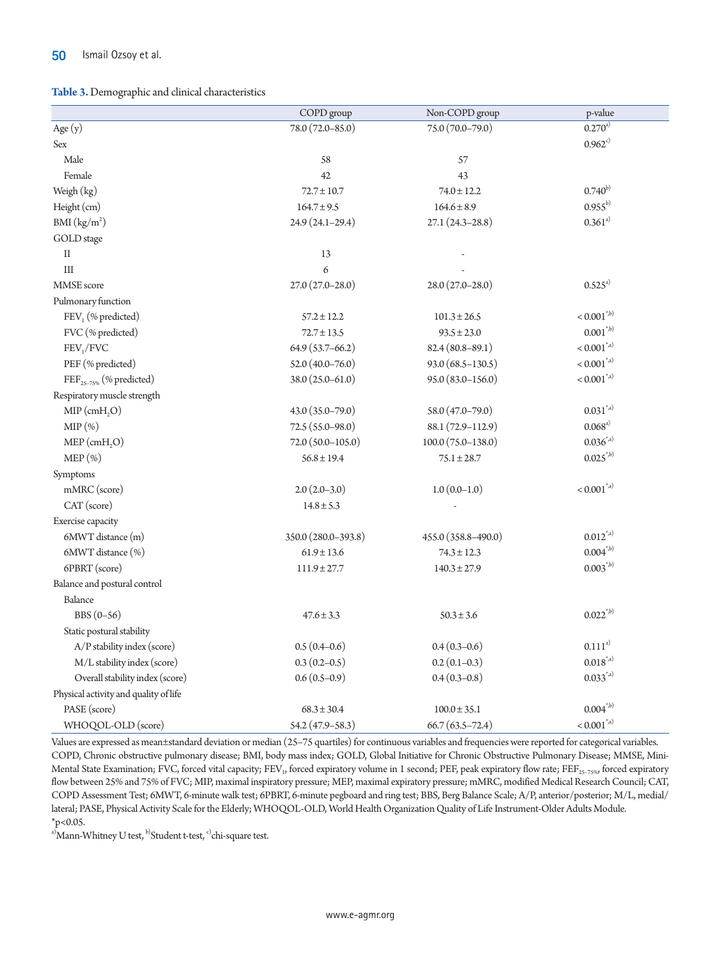#### <span id="page-5-0"></span>**Table 3.** Demographic and clinical characteristics

|                                       | COPD group            | Non-COPD group         | p-value                                  |
|---------------------------------------|-----------------------|------------------------|------------------------------------------|
| Age $(y)$                             | 78.0 (72.0-85.0)      | 75.0 (70.0-79.0)       | $0.270^{a}$                              |
| Sex                                   |                       |                        | $0.962^{c}$                              |
| Male                                  | 58                    | 57                     |                                          |
| Female                                | 42                    | 43                     |                                          |
| Weigh (kg)                            | $72.7 \pm 10.7$       | $74.0 \pm 12.2$        | $0.740^{b}$                              |
| Height (cm)                           | $164.7 \pm 9.5$       | $164.6 \pm 8.9$        | $0.955^{b}$                              |
| BMI (kg/m <sup>2</sup> )              | 24.9 (24.1-29.4)      | $27.1(24.3 - 28.8)$    | $0.361^{a}$                              |
| GOLD stage                            |                       |                        |                                          |
| $\rm II$                              | 13                    |                        |                                          |
| III                                   | 6                     |                        |                                          |
| MMSE score                            | $27.0(27.0-28.0)$     | $28.0(27.0-28.0)$      | $0.525^{a}$                              |
| Pulmonary function                    |                       |                        |                                          |
| FEV <sub>1</sub> (% predicted)        | $57.2 \pm 12.2$       | $101.3 \pm 26.5$       | $< 0.001^{\text{*},\text{b}}$            |
| FVC (% predicted)                     | $72.7 \pm 13.5$       | $93.5 \pm 23.0$        | $0.001^{*,b)}$                           |
| FEV <sub>1</sub> /FVC                 | $64.9(53.7-66.2)$     | $82.4(80.8-89.1)$      | $< 0.001^{\ast, a)}$                     |
| PEF (% predicted)                     | $52.0(40.0 - 76.0)$   | 93.0 (68.5-130.5)      | $< 0.001^{\rm *,a)}$                     |
| FEF <sub>25-75%</sub> (% predicted)   | 38.0 (25.0-61.0)      | 95.0 (83.0-156.0)      | $< 0.001^{\ast, a)}$                     |
| Respiratory muscle strength           |                       |                        |                                          |
| $MIP$ (cmH <sub>2</sub> O)            | 43.0 (35.0-79.0)      | 58.0 (47.0-79.0)       | $0.031^{*,a)}$                           |
| $MIP(\%)$                             | 72.5 (55.0-98.0)      | 88.1 (72.9-112.9)      | $0.068^{a)}$                             |
| $MEP$ (cmH <sub>2</sub> O)            | $72.0 (50.0 - 105.0)$ | $100.0 (75.0 - 138.0)$ | $0.036^{*}$ <sup>*,a)</sup>              |
| $MEP(\% )$                            | $56.8 \pm 19.4$       | $75.1 \pm 28.7$        | $0.025^{*,b)}$                           |
| Symptoms                              |                       |                        |                                          |
| mMRC (score)                          | $2.0(2.0-3.0)$        | $1.0(0.0-1.0)$         | $< 0.001^{\ast, a)}$                     |
| CAT (score)                           | $14.8 \pm 5.3$        |                        |                                          |
| Exercise capacity                     |                       |                        |                                          |
| 6MWT distance (m)                     | 350.0 (280.0-393.8)   | 455.0 (358.8-490.0)    | $0.012^{*,a)}$                           |
| 6MWT distance (%)                     | $61.9 \pm 13.6$       | $74.3 \pm 12.3$        | $0.004^{*,b)}$                           |
| 6PBRT (score)                         | $111.9 \pm 27.7$      | $140.3 \pm 27.9$       | $0.003^{*,b)}$                           |
| Balance and postural control          |                       |                        |                                          |
| Balance                               |                       |                        |                                          |
| $BBS(0-56)$                           | $47.6 \pm 3.3$        | $50.3 \pm 3.6$         | $0.022^{*,b)}$                           |
| Static postural stability             |                       |                        |                                          |
| A/P stability index (score)           | $0.5(0.4-0.6)$        | $0.4(0.3-0.6)$         | $0.111^{a}$                              |
| M/L stability index (score)           | $0.3(0.2-0.5)$        | $0.2(0.1-0.3)$         | $0.018^{*,a)}$                           |
| Overall stability index (score)       | $0.6(0.5-0.9)$        | $0.4(0.3-0.8)$         | $0.033^{*}$ <sup><math>^{*}</math></sup> |
| Physical activity and quality of life |                       |                        |                                          |
| PASE (score)                          | $68.3 \pm 30.4$       | $100.0 \pm 35.1$       | $0.004^{*,b)}$                           |
| WHOQOL-OLD (score)                    | 54.2 (47.9-58.3)      | $66.7(63.5 - 72.4)$    | $< 0.001^{\rm *,a)}$                     |

Values are expressed as mean±standard deviation or median (25–75 quartiles) for continuous variables and frequencies were reported for categorical variables. COPD, Chronic obstructive pulmonary disease; BMI, body mass index; GOLD, Global Initiative for Chronic Obstructive Pulmonary Disease; MMSE, Mini-Mental State Examination; FVC, forced vital capacity; FEV<sub>1</sub>, forced expiratory volume in 1 second; PEF, peak expiratory flow rate; FEF<sub>25–75%</sub>, forced expiratory flow between 25% and 75% of FVC; MIP, maximal inspiratory pressure; MEP, maximal expiratory pressure; mMRC, modified Medical Research Council; CAT, COPD Assessment Test; 6MWT, 6-minute walk test; 6PBRT, 6-minute pegboard and ring test; BBS, Berg Balance Scale; A/P, anterior/posterior; M/L, medial/ lateral; PASE, Physical Activity Scale for the Elderly; WHOQOL-OLD, World Health Organization Quality of Life Instrument-Older Adults Module.  $*_{p<0.05}$ .

<sup>a)</sup>Mann-Whitney U test, <sup>b)</sup>Student t-test, <sup>c)</sup>chi-square test.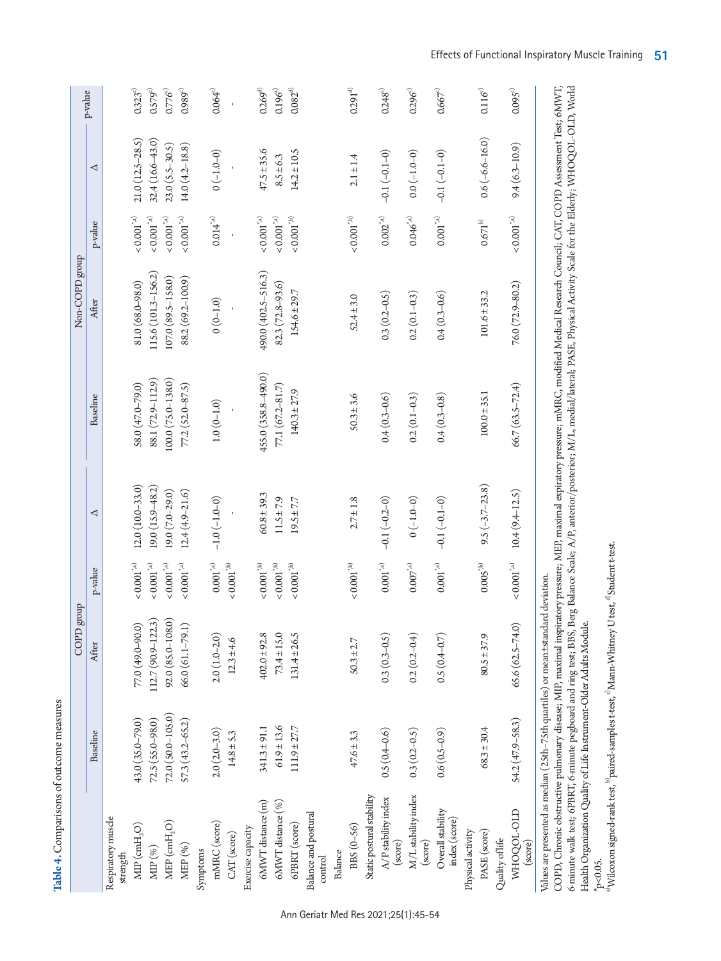|                                                                                  |                     | dno.fa<br>COPD        |                                                                                     |                      |                                                                                                                                                                                             | Non-COPD group      |                                                                                      |                     |                     |
|----------------------------------------------------------------------------------|---------------------|-----------------------|-------------------------------------------------------------------------------------|----------------------|---------------------------------------------------------------------------------------------------------------------------------------------------------------------------------------------|---------------------|--------------------------------------------------------------------------------------|---------------------|---------------------|
|                                                                                  | Baseline            | After                 | p-value                                                                             | ◁                    | Baseline                                                                                                                                                                                    | After               | p-value                                                                              | ◁                   | p-value             |
| Respiratory muscle<br>strength                                                   |                     |                       |                                                                                     |                      |                                                                                                                                                                                             |                     |                                                                                      |                     |                     |
| $\mbox{MIP}\,(\mbox{cmH}_2\mbox{O})$                                             | 43.0 (35.0-79.0)    | 77.0 (49.0-90.0)      | $<\!0.001^{*_\ast\!{\scriptscriptstyle\mathrm{A}}\!{\scriptscriptstyle\mathrm{0}}}$ | $12.0(10.0-33.0)$    | 58.0 (47.0-79.0)                                                                                                                                                                            | 81.0 (68.0-98.0)    | $<\!0.001^{^{\ast}\!{\scriptscriptstyle\mathrm{A}}\!{\scriptscriptstyle\mathrm{0}}}$ | $21.0(12.5 - 28.5)$ | $0.323^{c}$         |
| MIP (%)                                                                          | 72.5 (55.0-98.0)    | $112.7(90.9 - 122.3)$ | $<\!0.001^{^{\star_{\alpha\mathrm{i}}}}\!)$                                         | $19.0(15.9 - 48.2)$  | 88.1 (72.9-112.9)                                                                                                                                                                           | 115.6 (101.3–156.2) | $<\!0.001^{^{\circ}\!{\scriptscriptstyle \land}\!{\scriptscriptstyle \land}}$        | 32.4 (16.6-43.0)    | 0.579°              |
| MEP (cmH <sub>2</sub> O)                                                         | 72.0 (50.0-105.0)   | $92.0 (85.0 - 108.0)$ | $<\!0.001^{^{\star_{\alpha}}\!)}$                                                   | $[9.0 (7.0 - 29.0)]$ | $100.0(75.0-138.0)$                                                                                                                                                                         | 107.0 (89.5-158.0)  | $<\!0.001^{*,\rm a)}$                                                                | $23.0 (5.5 - 30.5)$ | $0.776^\circ$       |
| MEP (%)                                                                          | $57.3(43.2 - 65.2)$ | $66.0(61.1-79.1)$     | $<\!0.001^{*_\ast\mathrm{a}\mathrm{)}}$                                             | $12.4(4.9-21.6)$     | $77.2(52.0 - 87.5)$                                                                                                                                                                         | 88.2 (69.2-100.9)   | $<\!0.001^{*,\mathrm{a})}$                                                           | $14.0(4.2 - 18.8)$  | $0.989^\circ$       |
| Symptoms                                                                         |                     |                       |                                                                                     |                      |                                                                                                                                                                                             |                     |                                                                                      |                     |                     |
| mMRC (score)                                                                     | $2.0(2.0 - 3.0)$    | $2.0(1.0 - 2.0)$      | $0.001^{\prime\mathrm{a}}$                                                          | $-1.0(-1.0-0)$       | $1.0(0-1.0)$                                                                                                                                                                                | $0(0-1.0)$          | $0.014^{^{\ast}\!{\scriptscriptstyle \wedge}^{\!0}}$                                 | $(0 - 1.0 - 0)$     | $0.064^{\circ}$     |
| CAT (score)                                                                      | $14.8 \pm 5.3$      | $12.3 \pm 4.6$        | $<\!0.001^{*\mathrm{b)}}$                                                           |                      |                                                                                                                                                                                             |                     |                                                                                      |                     |                     |
| Exercise capacity                                                                |                     |                       |                                                                                     |                      |                                                                                                                                                                                             |                     |                                                                                      |                     |                     |
| 6MWT distance (m)                                                                | $341.3 \pm 91.1$    | $402.0 \pm 92.8$      | $<\!0.001^{*\mathrm{b}})$                                                           | $60.8 \pm 39.3$      | 455.0 (358.8-490.0)                                                                                                                                                                         | 490.0 (402.5-516.3) | $<\!0.001^{\mbox{\tiny\it tha}}\!)$                                                  | $47.5 \pm 35.6$     | $0.269^{d)}$        |
| 6MWT distance (%)                                                                | $61.9 \pm 13.6$     | $73.4 \pm 15.0$       | $<\!0.001^{*\mathrm{b}}\!)$                                                         | $11.5 \pm 7.9$       | $77.1(67.2 - 81.7)$                                                                                                                                                                         | $82.3(72.8-93.6)$   | $<\!0.001^{\prime,\mathrm{a})}$                                                      | $8.5 \pm 6.3$       | $0.196^{a}$         |
| 6PBRT (score)                                                                    | $111.9 \pm 27.7$    | $131.4 \pm 26.5$      | $<\!0.001^{*_{b}}\!)$                                                               | $19.5 \pm 7.7$       | $140.3 \pm 27.9$                                                                                                                                                                            | $154.6 \pm 29.7$    | $<\!0.001^{^{*\mathrm{(b)}}}\!$                                                      | $14.2 \pm 10.5$     | $0.082^{d)}$        |
| Balance and postural<br>control                                                  |                     |                       |                                                                                     |                      |                                                                                                                                                                                             |                     |                                                                                      |                     |                     |
| Balance                                                                          |                     |                       |                                                                                     |                      |                                                                                                                                                                                             |                     |                                                                                      |                     |                     |
| BBS (0-56)                                                                       | $47.6 \pm 3.3$      | $50.3 \pm 2.7$        | $<\!0.001^{^{*}\mathrm{b})}$                                                        | $2.7 \pm 1.8$        | $50.3 \pm 3.6$                                                                                                                                                                              | $52.4 \pm 3.0$      | $<\!0.001^{^{*}{\rm b}}\!)$                                                          | $2.1 \pm 1.4$       | $0.291^\mathrm{d)}$ |
| Static postural stability                                                        |                     |                       |                                                                                     |                      |                                                                                                                                                                                             |                     |                                                                                      |                     |                     |
| ${\rm A/P}$ stability index<br>$(\text{score})$                                  | $0.5(0.4 - 0.6)$    | $0.3(0.3 - 0.5)$      | $0.001^{\mbox{\tiny{*}}\!{\rm a})}$                                                 | $-0.1(-0.2-0)$       | $0.4(0.3 - 0.6)$                                                                                                                                                                            | $0.3(0.2 - 0.5)$    | $0.002^{\text{*a}}$                                                                  | $-0.1(-0.1-0)$      | $0.248^{\circ}$     |
| $\rm M/L$ stability index<br>$(\text{score})$                                    | $0.3(0.2 - 0.5)$    | $0.2(0.2 - 0.4)$      | $0.007^{\prime\mathrm{a)}}$                                                         | $0(-1.0-0)$          | $0.2(0.1 - 0.3)$                                                                                                                                                                            | $0.2(0.1 - 0.3)$    | $0.046^{\text{\tiny{*,a}}}$                                                          | $0.0(-1.0-0)$       | $0.296^{\circ}$     |
| Overall stability<br>index (score)                                               | $0.6(0.5-0.9)$      | $0.5(0.4 - 0.7)$      | $0.001^{\prime\mathrm{a}}$                                                          | $-0.1(-0.1-0)$       | $0.4(0.3 - 0.8)$                                                                                                                                                                            | $0.4(0.3 - 0.6)$    | $0.001^{\prime\mathrm{a)}}$                                                          | $-0.1(-0.1-0)$      | $0.667^{\circ}$     |
| Physical activity                                                                |                     |                       |                                                                                     |                      |                                                                                                                                                                                             |                     |                                                                                      |                     |                     |
| PASE (score)                                                                     | $68.3 \pm 30.4$     | $80.5 \pm 37.9$       | $0.005^{\prime\mathrm{b)}}$                                                         | $9.5(-3.7-23.8)$     | $100.0 \pm 35.1$                                                                                                                                                                            | $101.6 \pm 33.2$    | $0.671^{\rm b)}$                                                                     | $0.6 (-6.6 - 16.0)$ | $0.116^\circ$       |
| Quality of life                                                                  |                     |                       |                                                                                     |                      |                                                                                                                                                                                             |                     |                                                                                      |                     |                     |
| WHOQOL-OLD<br>$(\text{score})$                                                   | $54.2(47.9 - 58.3)$ | $65.6(62.5 - 74.0)$   | $<\!0.001^{*_{\textrm{a}}\!})$                                                      | $10.4(9.4 - 12.5)$   | $66.7(63.5 - 72.4)$                                                                                                                                                                         | $76.0(72.9-80.2)$   | $<\!0.001^{*,\mathrm{a})}$                                                           | $9.4(6.3 - 10.9)$   | $0.095^\circ$       |
| Values are presented as median (25th-75th quartiles) or mean±standard deviation. |                     |                       |                                                                                     |                      | COPD, Chronic obstructive pulmonary disease: MIP, maximal inspiratory pressure: MEP, maximal expiratory pressure: mMRC, modified Medical Research Council: CAT, COPD Assessment Test; 6MWT, |                     |                                                                                      |                     |                     |

COPD, Chronic obstructive pulmonary disease; MIP, maximal inspiratory pressure; MEP, maximal expiratory pressure; mMRC, modified Medical Research Council; CAT, COPD Assessment Test; 6MWT, 6-minute walk test; 6PBRT, 6-minute pegboard and ring test; BBS, Berg Balance Scale; A/P, anterior/posterior; M/L, medial/lateral; PASE, Physical Activity Scale for the Elderly; WHOQOL-OLD, World Health Organization Quality of Life Instrument-Older Adults Module. 6-minute walk test; 6PBRT, 6-minute pegboard and ring test; BBS, Berg Balance Scale; A/F, anterior/posterior; M/L, medial/lateral; PASE, Physical Activity Scale for the Elderly; WHOQOL-OLD, World Health Organization Qualit

Ann Geriatr Med Res 2021;25(1):45-54

<span id="page-6-0"></span>Table 4. Comparisons of outcome measures **Table 4.** Comparisons of outcome measures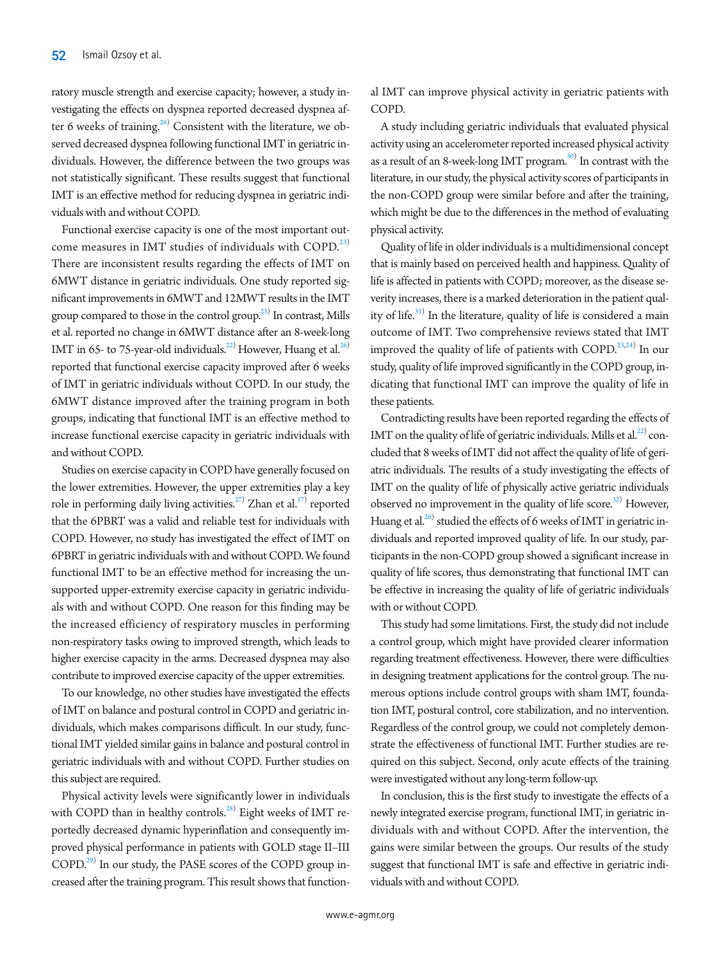ratory muscle strength and exercise capacity; however, a study investigating the effects on dyspnea reported decreased dyspnea after 6 weeks of training. $^{26)}$  Consistent with the literature, we observed decreased dyspnea following functional IMT in geriatric individuals. However, the difference between the two groups was not statistically significant. These results suggest that functional IMT is an effective method for reducing dyspnea in geriatric individuals with and without COPD.

Functional exercise capacity is one of the most important outcome measures in IMT studies of individuals with COPD.<sup>23)</sup> There are inconsistent results regarding the effects of IMT on 6MWT distance in geriatric individuals. One study reported significant improvements in 6MWT and 12MWT results in the IMT group compared to those in the control group.<sup>23)</sup> In contrast, Mills et al. reported no change in 6MWT distance after an 8-week-long IMT in 65- to 75-year-old individuals.<sup>22)</sup> However, Huang et al.<sup>26)</sup> reported that functional exercise capacity improved after 6 weeks of IMT in geriatric individuals without COPD. In our study, the 6MWT distance improved after the training program in both groups, indicating that functional IMT is an effective method to increase functional exercise capacity in geriatric individuals with and without COPD.

Studies on exercise capacity in COPD have generally focused on the lower extremities. However, the upper extremities play a key role in performing daily living activities.<sup>27)</sup> Zhan et al.<sup>17)</sup> reported that the 6PBRT was a valid and reliable test for individuals with COPD. However, no study has investigated the effect of IMT on 6PBRT in geriatric individuals with and without COPD. We found functional IMT to be an effective method for increasing the unsupported upper-extremity exercise capacity in geriatric individuals with and without COPD. One reason for this finding may be the increased efficiency of respiratory muscles in performing non-respiratory tasks owing to improved strength, which leads to higher exercise capacity in the arms. Decreased dyspnea may also contribute to improved exercise capacity of the upper extremities.

To our knowledge, no other studies have investigated the effects of IMT on balance and postural control in COPD and geriatric individuals, which makes comparisons difficult. In our study, functional IMT yielded similar gains in balance and postural control in geriatric individuals with and without COPD. Further studies on this subject are required.

Physical activity levels were significantly lower in individuals with COPD than in healthy controls. $^{28)}$  $^{28)}$  $^{28)}$  Eight weeks of IMT reportedly decreased dynamic hyperinflation and consequently improved physical performance in patients with GOLD stage II–III COPD.<sup>29)</sup> In our study, the PASE scores of the COPD group increased after the training program. This result shows that function-

al IMT can improve physical activity in geriatric patients with COPD.

A study including geriatric individuals that evaluated physical activity using an accelerometer reported increased physical activity as a result of an 8-week-long IMT program.<sup>[30](#page-9-4))</sup> In contrast with the literature, in our study, the physical activity scores of participants in the non-COPD group were similar before and after the training, which might be due to the differences in the method of evaluating physical activity.

Quality of life in older individuals is a multidimensional concept that is mainly based on perceived health and happiness. Quality of life is affected in patients with COPD; moreover, as the disease severity increases, there is a marked deterioration in the patient qual-ity of life.<sup>[31\)](#page-9-5)</sup> In the literature, quality of life is considered a main outcome of IMT. Two comprehensive reviews stated that IMT improved the quality of life of patients with COPD.<sup>23,24)</sup> In our study, quality of life improved significantly in the COPD group, indicating that functional IMT can improve the quality of life in these patients.

Contradicting results have been reported regarding the effects of IMT on the quality of life of geriatric individuals. Mills et al. $^{22}$  concluded that 8 weeks of IMT did not affect the quality of life of geriatric individuals. The results of a study investigating the effects of IMT on the quality of life of physically active geriatric individuals observed no improvement in the quality of life score.<sup>32)</sup> However, Huang et al.<sup>26)</sup> studied the effects of 6 weeks of IMT in geriatric individuals and reported improved quality of life. In our study, participants in the non-COPD group showed a significant increase in quality of life scores, thus demonstrating that functional IMT can be effective in increasing the quality of life of geriatric individuals with or without COPD.

This study had some limitations. First, the study did not include a control group, which might have provided clearer information regarding treatment effectiveness. However, there were difficulties in designing treatment applications for the control group. The numerous options include control groups with sham IMT, foundation IMT, postural control, core stabilization, and no intervention. Regardless of the control group, we could not completely demonstrate the effectiveness of functional IMT. Further studies are required on this subject. Second, only acute effects of the training were investigated without any long-term follow-up.

In conclusion, this is the first study to investigate the effects of a newly integrated exercise program, functional IMT, in geriatric individuals with and without COPD. After the intervention, the gains were similar between the groups. Our results of the study suggest that functional IMT is safe and effective in geriatric individuals with and without COPD.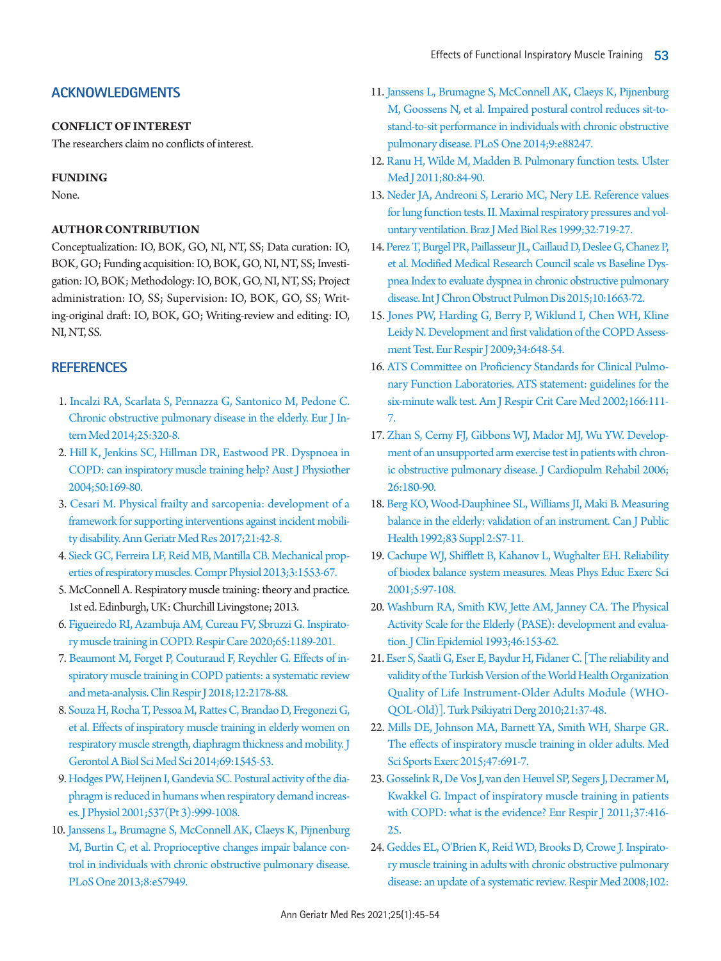# **ACKNOWLEDGMENTS**

# **CONFLICT OF INTEREST**

The researchers claim no conflicts of interest.

# **FUNDING**

None.

## **AUTHOR CONTRIBUTION**

<span id="page-8-1"></span>Conceptualization: IO, BOK, GO, NI, NT, SS; Data curation: IO, BOK, GO; Funding acquisition: IO, BOK, GO, NI, NT, SS; Investigation: IO, BOK; Methodology: IO, BOK, GO, NI, NT, SS; Project administration: IO, SS; Supervision: IO, BOK, GO, SS; Writing-original draft: IO, BOK, GO; Writing-review and editing: IO, NI, NT, SS.

# **REFERENCES**

- <span id="page-8-0"></span>1. [Incalzi RA, Scarlata S, Pennazza G, Santonico M, Pedone C.](https://doi.org/10.1016/j.ejim.2013.10.001)  [Chronic obstructive pulmonary disease in the elderly. Eur J In](https://doi.org/10.1016/j.ejim.2013.10.001)[tern Med 2014;25:320-8.](https://doi.org/10.1016/j.ejim.2013.10.001)
- 2. [Hill K, Jenkins SC, Hillman DR, Eastwood PR. Dyspnoea in](https://doi.org/10.1016/s0004-9514(14)60155-0)  [COPD: can inspiratory muscle training help? Aust J Physiother](https://doi.org/10.1016/s0004-9514(14)60155-0)  [2004;50:169-80.](https://doi.org/10.1016/s0004-9514(14)60155-0)
- <span id="page-8-2"></span>3. [Cesari M. Physical frailty and sarcopenia: development of a](https://doi.org/10.4235/agmr.2017.21.2.42)  [framework for supporting interventions against incident mobili](https://doi.org/10.4235/agmr.2017.21.2.42)[ty disability. Ann Geriatr Med Res 2017;21:42-8.](https://doi.org/10.4235/agmr.2017.21.2.42)
- <span id="page-8-3"></span>4. Sieck GC, Fer[reira LF, Reid MB, Mantilla CB. Mechanical prop](https://doi.org/10.1002/cphy.c130003)[erties of respiratory muscles. Compr Physiol 2013;3:1553-67.](https://doi.org/10.1002/cphy.c130003)
- <span id="page-8-4"></span>5. McConnell A. Respiratory muscle training: theory and practice. 1st ed. Edinburgh, UK: Churchill Livingstone; 2013.
- <span id="page-8-5"></span>[6. Figueiredo RI, Azambuja AM, Cureau FV, Sbruzzi G. Inspirato](https://doi.org/10.4187/respcare.07098)[ry muscle training in COPD. Respir Care 2020;65:1189-201.](https://doi.org/10.4187/respcare.07098)
- 7. [Beaumont M, Forget P, Couturaud F, Reychler G. Effects of in](https://doi.org/10.1111/crj.12905)[spiratory muscle training in COPD patients: a systematic review](https://doi.org/10.1111/crj.12905)  [and meta-analysis. Clin Respir J 2018;12:2178-88.](https://doi.org/10.1111/crj.12905)
- 8. [Souza H, Rocha T, Pessoa M, Rattes C, Brandao D, Fregonezi G,](https://doi.org/10.1093/gerona/glu182)  [et al. Effects of inspiratory muscle training in elderly women on](https://doi.org/10.1093/gerona/glu182)  [respiratory muscle strength, diaphragm thickness and mobility. J](https://doi.org/10.1093/gerona/glu182)  [Gerontol A Biol Sci Med Sci 2014;69:1545-53.](https://doi.org/10.1093/gerona/glu182)
- 9. [Hodges PW, Heijnen I, Gandevia SC. Postural activity of the dia](https://doi.org/10.1113/jphysiol.2001.012648)[phragm is reduced in humans when respiratory demand increas](https://doi.org/10.1113/jphysiol.2001.012648)[es. J Physiol 2001;537\(Pt 3\):999-1008.](https://doi.org/10.1113/jphysiol.2001.012648)
- <span id="page-8-6"></span>1[0. Janssens L, Brumagne S, McConnell AK, Claeys K, Pijnenburg](https://doi.org/10.1371/journal.pone.0057949)  [M, Burtin C, et al. Proprioceptive changes impair balance con](https://doi.org/10.1371/journal.pone.0057949)[trol in individuals with chronic obstructive pulmonary disease.](https://doi.org/10.1371/journal.pone.0057949)  [PLoS One 2013;8:e57949](https://doi.org/10.1371/journal.pone.0057949).
- <span id="page-8-7"></span>11[. Janssens L, Brumagne S, McConnell AK, Claeys K, Pijnenburg](https://doi.org/10.1371/journal.pone.0088247)  [M, Goossens N, et al. Impaired postural control reduces sit-to](https://doi.org/10.1371/journal.pone.0088247)[stand-to-sit performance in individuals with chronic obstructive](https://doi.org/10.1371/journal.pone.0088247)  [pulmonary disease. PLoS One 2014;9:e88247](https://doi.org/10.1371/journal.pone.0088247).
- <span id="page-8-8"></span>12[. Ranu H, Wilde M, Madden B. Pulmonary function tests. Ulster](https://www.ncbi.nlm.nih.gov/pubmed/22347750)  [Med J 2011;80:84-90.](https://www.ncbi.nlm.nih.gov/pubmed/22347750)
- <span id="page-8-9"></span>13[. Neder JA, Andreoni S, Lerario MC, Nery LE. Reference values](https://doi.org/10.1590/s0100-879x1999000600007)  [for lung function tests. II. Maximal respiratory pressures and vol](https://doi.org/10.1590/s0100-879x1999000600007)[untary ventilation. Braz J Med Biol Res 1999;32:719-27.](https://doi.org/10.1590/s0100-879x1999000600007)
- <span id="page-8-10"></span>14[. Perez T, Burgel PR, Paillasseur JL, Caillaud D, Deslee G, Chanez P,](https://doi.org/10.2147/copd.s82408)  [et al. Modified Medical Research Council scale vs Baseline Dys](https://doi.org/10.2147/copd.s82408)[pnea Index to evaluate dyspnea in chronic obstructive pulmonary](https://doi.org/10.2147/copd.s82408)  [disease. Int J Chron Obstruct Pulmon Dis](https://doi.org/10.2147/copd.s82408) 2015;10:1663-72.
- <span id="page-8-11"></span>15. Jones P[W, Harding G, Berry P, Wiklund I, Chen WH, Kline](https://doi.org/10.1183/09031936.00102509)  [Leidy N. Development and first validation of the COPD Assess](https://doi.org/10.1183/09031936.00102509)[ment Test. Eur Respir J 2009;34:648-54.](https://doi.org/10.1183/09031936.00102509)
- <span id="page-8-12"></span>16. [ATS Committee on Proficiency Standards for Clinical Pulmo](http://www.ncbi.nlm.nih.gov/pubmed/12091180)[nary Function Laboratories. ATS statement: guidelines for the](http://www.ncbi.nlm.nih.gov/pubmed/12091180)  [six-minute walk test. Am J Respir Crit Care Med 2002;166:111-](http://www.ncbi.nlm.nih.gov/pubmed/12091180) [7.](http://www.ncbi.nlm.nih.gov/pubmed/12091180)
- 17. [Zhan S, Cerny FJ, Gibbons WJ, Mador MJ, Wu YW. Develop](https://doi.org/10.1097/00008483-200605000-00013)[ment of an unsupported arm exercise test in patients with chron](https://doi.org/10.1097/00008483-200605000-00013)[ic obstructive pulmonary disease. J Cardiopulm Rehabil 2006;](https://doi.org/10.1097/00008483-200605000-00013) [26:180-90.](https://doi.org/10.1097/00008483-200605000-00013)
- <span id="page-8-13"></span>18. Berg K[O, Wood-Dauphinee SL, Williams JI, Maki B. Measuring](https://www.ncbi.nlm.nih.gov/pubmed/1468055)  [balance in the elderly: validation of an instrument. Can J Public](https://www.ncbi.nlm.nih.gov/pubmed/1468055)  [Health 1992;83 Suppl 2:S7-11.](https://www.ncbi.nlm.nih.gov/pubmed/1468055)
- <span id="page-8-14"></span>19. Cachupe WJ, Shifflett B, Kahanov L, Wughalter EH. Reliability of biodex balance system measur[es. Meas Phys Educ Exerc Sci](https://doi.org/10.1207/s15327841mpee0502_3)  [2001;5:97-108.](https://doi.org/10.1207/s15327841mpee0502_3)
- <span id="page-8-15"></span>20. Washburn RA, Smith K[W, Jette AM, Janney CA. The Physical](https://doi.org/10.1016/0895-4356(93)90053-4)  [Activity Scale for the Elderly \(PASE\): development and evalua](https://doi.org/10.1016/0895-4356(93)90053-4)[tion. J Clin Epidemiol 1993;46:153-62.](https://doi.org/10.1016/0895-4356(93)90053-4)
- <span id="page-8-16"></span>21[. Eser S, Saatli G, Eser E, Baydur H, Fidaner C. \[The reliability and](https://www.ncbi.nlm.nih.gov/pubmed/20204903)  [validity of the Turkish Version of the World Health Organization](https://www.ncbi.nlm.nih.gov/pubmed/20204903)  [Quality of Life Instrument-Older Adults Module \(WHO-](https://www.ncbi.nlm.nih.gov/pubmed/20204903)[QOL-Old\)\]. Turk Psikiyatri Derg 2010;21:37-48](https://www.ncbi.nlm.nih.gov/pubmed/20204903).
- <span id="page-8-17"></span>22. Mills DE, Johnson MA, Barnett YA, Smith WH, Sharpe GR. The effects of inspi[ratory muscle training in older adults. Med](https://doi.org/10.1249/mss.0000000000000474)  [Sci Sports Exerc 2015;47:691-7.](https://doi.org/10.1249/mss.0000000000000474)
- 23. [Gosselink R, De Vos J, van den Heuvel SP, Segers J, Decramer M,](https://doi.org/10.1183/09031936.00031810)  [Kwakkel G. Impact of inspiratory muscle training in patients](https://doi.org/10.1183/09031936.00031810)  [with COPD: what is the evidence? Eur Respir J 2011;37:416-](https://doi.org/10.1183/09031936.00031810) [25.](https://doi.org/10.1183/09031936.00031810)
- 24. [Geddes EL, O'Brien K, Reid WD, Brooks D, Crowe J. Inspirato](https://doi.org/10.1016/j.rmed.2008.07.005)[ry muscle training in adults with chronic obstructive pulmonary](https://doi.org/10.1016/j.rmed.2008.07.005)  [disease: an update of a systematic review. Respir Med 2008;102:](https://doi.org/10.1016/j.rmed.2008.07.005)